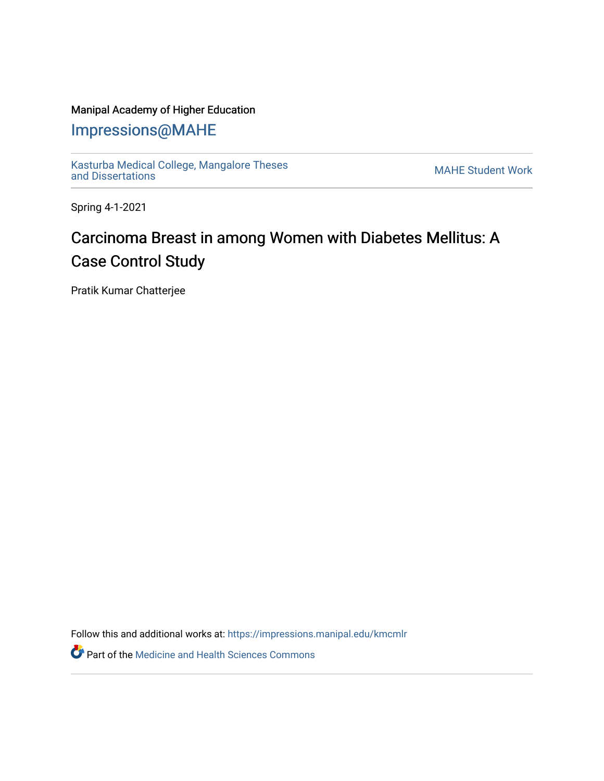### Manipal Academy of Higher Education

## [Impressions@MAHE](https://impressions.manipal.edu/)

[Kasturba Medical College, Mangalore Theses](https://impressions.manipal.edu/kmcmlr) Kasturba Medical College, Mangalore Theses<br>[and Dissertations](https://impressions.manipal.edu/kmcmlr) MAHE Student Work

Spring 4-1-2021

# Carcinoma Breast in among Women with Diabetes Mellitus: A Case Control Study

Pratik Kumar Chatterjee

Follow this and additional works at: [https://impressions.manipal.edu/kmcmlr](https://impressions.manipal.edu/kmcmlr?utm_source=impressions.manipal.edu%2Fkmcmlr%2F42&utm_medium=PDF&utm_campaign=PDFCoverPages) 

**Part of the Medicine and Health Sciences Commons**